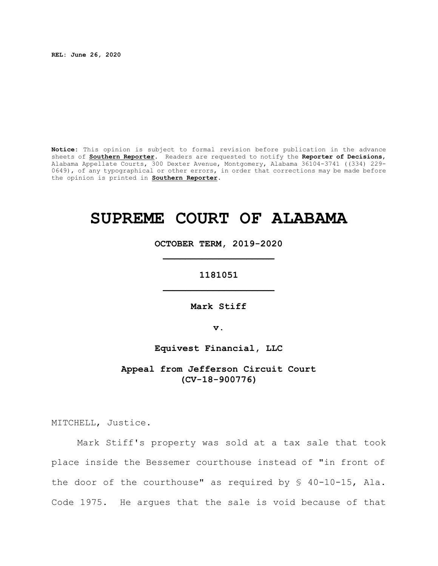**REL: June 26, 2020**

**Notice:** This opinion is subject to formal revision before publication in the advance sheets of **Southern Reporter**. Readers are requested to notify the **Reporter of Decisions**, Alabama Appellate Courts, 300 Dexter Avenue, Montgomery, Alabama 36104-3741 ((334) 229- 0649), of any typographical or other errors, in order that corrections may be made before the opinion is printed in **Southern Reporter**.

# **SUPREME COURT OF ALABAMA**

**OCTOBER TERM, 2019-2020 \_\_\_\_\_\_\_\_\_\_\_\_\_\_\_\_\_\_\_\_**

**1181051 \_\_\_\_\_\_\_\_\_\_\_\_\_\_\_\_\_\_\_\_**

**Mark Stiff**

**v.**

**Equivest Financial, LLC**

**Appeal from Jefferson Circuit Court (CV-18-900776)**

MITCHELL, Justice.

Mark Stiff's property was sold at a tax sale that took place inside the Bessemer courthouse instead of "in front of the door of the courthouse" as required by § 40-10-15, Ala. Code 1975. He argues that the sale is void because of that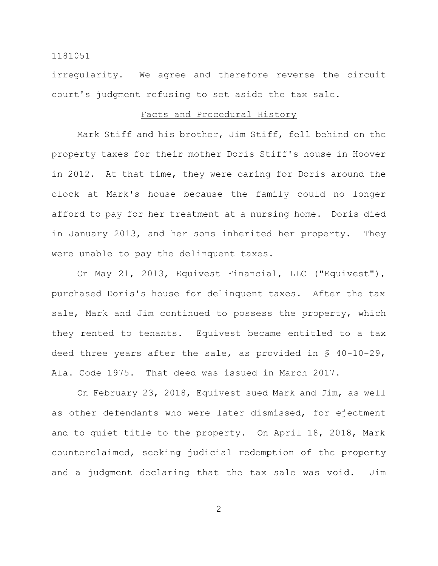irregularity. We agree and therefore reverse the circuit court's judgment refusing to set aside the tax sale.

# Facts and Procedural History

Mark Stiff and his brother, Jim Stiff, fell behind on the property taxes for their mother Doris Stiff's house in Hoover in 2012. At that time, they were caring for Doris around the clock at Mark's house because the family could no longer afford to pay for her treatment at a nursing home. Doris died in January 2013, and her sons inherited her property. They were unable to pay the delinquent taxes.

On May 21, 2013, Equivest Financial, LLC ("Equivest"), purchased Doris's house for delinquent taxes. After the tax sale, Mark and Jim continued to possess the property, which they rented to tenants. Equivest became entitled to a tax deed three years after the sale, as provided in § 40-10-29, Ala. Code 1975. That deed was issued in March 2017.

On February 23, 2018, Equivest sued Mark and Jim, as well as other defendants who were later dismissed, for ejectment and to quiet title to the property. On April 18, 2018, Mark counterclaimed, seeking judicial redemption of the property and a judgment declaring that the tax sale was void. Jim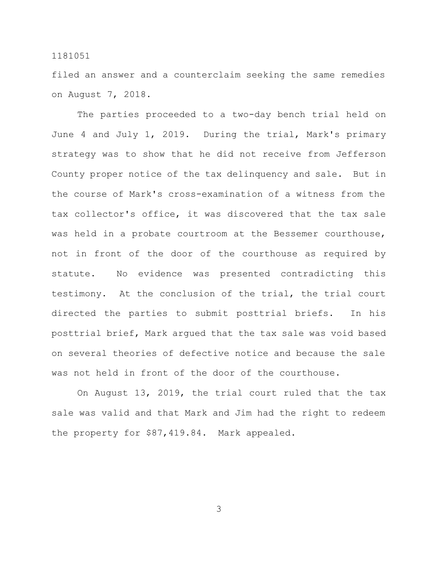filed an answer and a counterclaim seeking the same remedies on August 7, 2018.

The parties proceeded to a two-day bench trial held on June 4 and July 1, 2019. During the trial, Mark's primary strategy was to show that he did not receive from Jefferson County proper notice of the tax delinquency and sale. But in the course of Mark's cross-examination of a witness from the tax collector's office, it was discovered that the tax sale was held in a probate courtroom at the Bessemer courthouse, not in front of the door of the courthouse as required by statute. No evidence was presented contradicting this testimony. At the conclusion of the trial, the trial court directed the parties to submit posttrial briefs. In his posttrial brief, Mark argued that the tax sale was void based on several theories of defective notice and because the sale was not held in front of the door of the courthouse.

On August 13, 2019, the trial court ruled that the tax sale was valid and that Mark and Jim had the right to redeem the property for \$87,419.84. Mark appealed.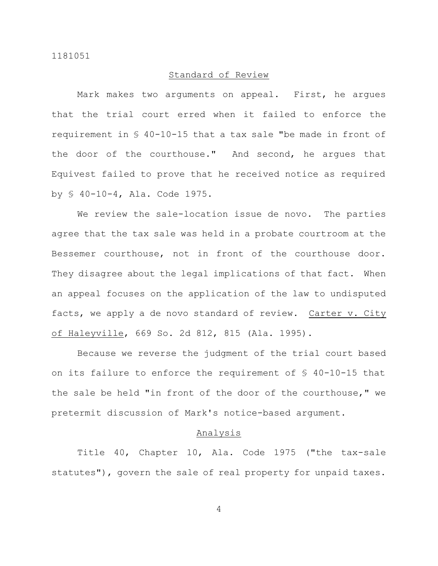## Standard of Review

Mark makes two arguments on appeal. First, he argues that the trial court erred when it failed to enforce the requirement in § 40-10-15 that a tax sale "be made in front of the door of the courthouse." And second, he argues that Equivest failed to prove that he received notice as required by § 40-10-4, Ala. Code 1975.

We review the sale-location issue de novo. The parties agree that the tax sale was held in a probate courtroom at the Bessemer courthouse, not in front of the courthouse door. They disagree about the legal implications of that fact. When an appeal focuses on the application of the law to undisputed facts, we apply a de novo standard of review. Carter v. City of Haleyville, 669 So. 2d 812, 815 (Ala. 1995).

Because we reverse the judgment of the trial court based on its failure to enforce the requirement of § 40-10-15 that the sale be held "in front of the door of the courthouse," we pretermit discussion of Mark's notice-based argument.

## Analysis

Title 40, Chapter 10, Ala. Code 1975 ("the tax-sale statutes"), govern the sale of real property for unpaid taxes.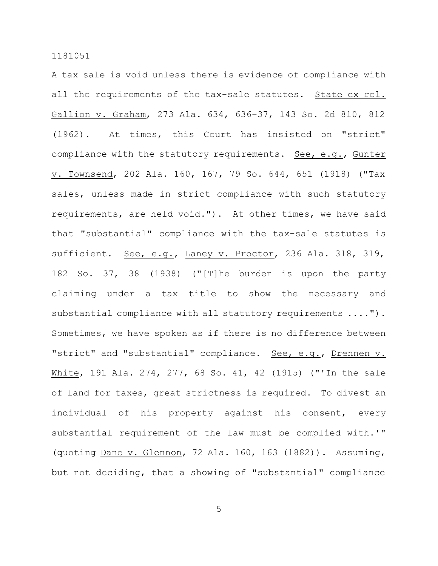A tax sale is void unless there is evidence of compliance with all the requirements of the tax-sale statutes. State ex rel. Gallion v. Graham, 273 Ala. 634, 636–37, 143 So. 2d 810, 812 (1962). At times, this Court has insisted on "strict" compliance with the statutory requirements. See, e.g., Gunter v. Townsend, 202 Ala. 160, 167, 79 So. 644, 651 (1918) ("Tax sales, unless made in strict compliance with such statutory requirements, are held void."). At other times, we have said that "substantial" compliance with the tax-sale statutes is sufficient. See, e.g., Laney v. Proctor, 236 Ala. 318, 319, 182 So. 37, 38 (1938) ("[T]he burden is upon the party claiming under a tax title to show the necessary and substantial compliance with all statutory requirements ...."). Sometimes, we have spoken as if there is no difference between "strict" and "substantial" compliance. See, e.g., Drennen v. White, 191 Ala. 274, 277, 68 So. 41, 42 (1915) ("'In the sale of land for taxes, great strictness is required. To divest an individual of his property against his consent, every substantial requirement of the law must be complied with.'" (quoting Dane v. Glennon, 72 Ala. 160, 163 (1882)). Assuming, but not deciding, that a showing of "substantial" compliance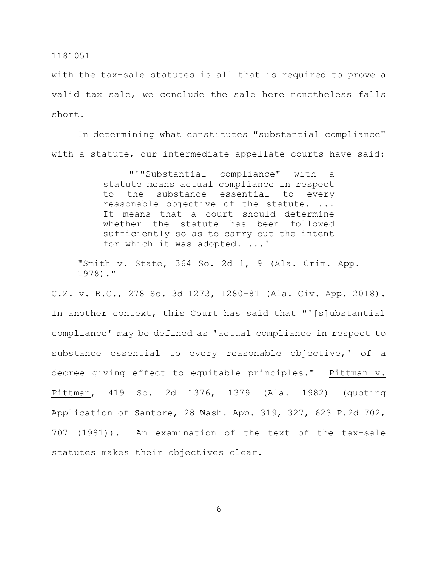with the tax-sale statutes is all that is required to prove a valid tax sale, we conclude the sale here nonetheless falls short.

In determining what constitutes "substantial compliance" with a statute, our intermediate appellate courts have said:

> "'"Substantial compliance" with a statute means actual compliance in respect to the substance essential to every reasonable objective of the statute. ... It means that a court should determine whether the statute has been followed sufficiently so as to carry out the intent for which it was adopted. ...'

"Smith v. State, 364 So. 2d 1, 9 (Ala. Crim. App. 1978)."

C.Z. v. B.G., 278 So. 3d 1273, 1280–81 (Ala. Civ. App. 2018). In another context, this Court has said that "'[s]ubstantial compliance' may be defined as 'actual compliance in respect to substance essential to every reasonable objective,' of a decree giving effect to equitable principles." Pittman v. Pittman, 419 So. 2d 1376, 1379 (Ala. 1982) (quoting Application of Santore, 28 Wash. App. 319, 327, 623 P.2d 702, 707 (1981)). An examination of the text of the tax-sale statutes makes their objectives clear.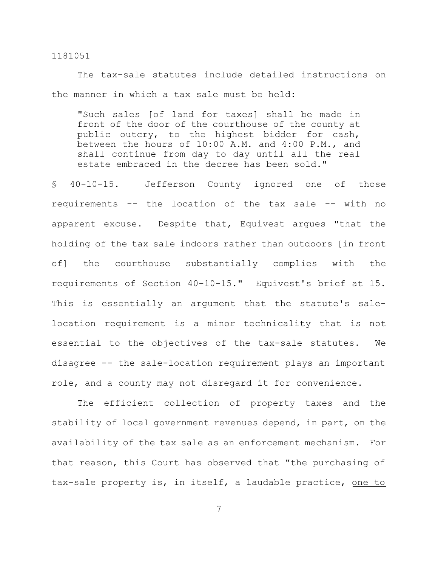The tax-sale statutes include detailed instructions on the manner in which a tax sale must be held:

"Such sales [of land for taxes] shall be made in front of the door of the courthouse of the county at public outcry, to the highest bidder for cash, between the hours of 10:00 A.M. and 4:00 P.M., and shall continue from day to day until all the real estate embraced in the decree has been sold."

§ 40-10-15. Jefferson County ignored one of those requirements -- the location of the tax sale -- with no apparent excuse. Despite that, Equivest argues "that the holding of the tax sale indoors rather than outdoors [in front of] the courthouse substantially complies with the requirements of Section 40-10-15." Equivest's brief at 15. This is essentially an argument that the statute's salelocation requirement is a minor technicality that is not essential to the objectives of the tax-sale statutes. We disagree -- the sale-location requirement plays an important role, and a county may not disregard it for convenience.

The efficient collection of property taxes and the stability of local government revenues depend, in part, on the availability of the tax sale as an enforcement mechanism. For that reason, this Court has observed that "the purchasing of tax-sale property is, in itself, a laudable practice, one to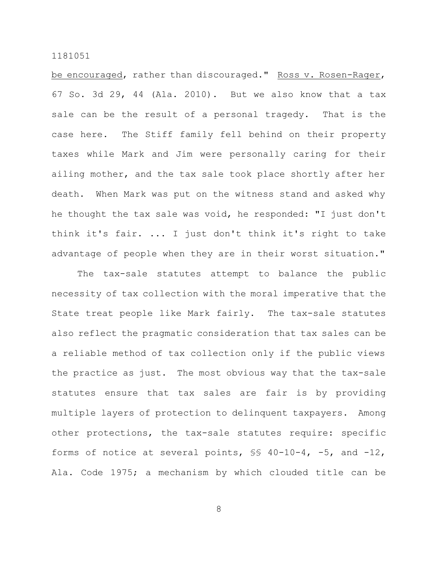be encouraged, rather than discouraged." Ross v. Rosen-Rager, 67 So. 3d 29, 44 (Ala. 2010). But we also know that a tax sale can be the result of a personal tragedy. That is the case here. The Stiff family fell behind on their property taxes while Mark and Jim were personally caring for their ailing mother, and the tax sale took place shortly after her death. When Mark was put on the witness stand and asked why he thought the tax sale was void, he responded: "I just don't think it's fair. ... I just don't think it's right to take advantage of people when they are in their worst situation."

The tax-sale statutes attempt to balance the public necessity of tax collection with the moral imperative that the State treat people like Mark fairly. The tax-sale statutes also reflect the pragmatic consideration that tax sales can be a reliable method of tax collection only if the public views the practice as just. The most obvious way that the tax-sale statutes ensure that tax sales are fair is by providing multiple layers of protection to delinquent taxpayers. Among other protections, the tax-sale statutes require: specific forms of notice at several points, §§ 40-10-4, -5, and -12, Ala. Code 1975; a mechanism by which clouded title can be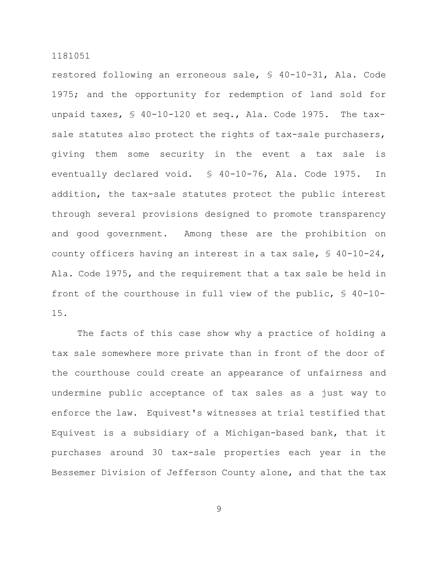restored following an erroneous sale, § 40-10-31, Ala. Code 1975; and the opportunity for redemption of land sold for unpaid taxes, § 40-10-120 et seq., Ala. Code 1975. The taxsale statutes also protect the rights of tax-sale purchasers, giving them some security in the event a tax sale is eventually declared void. § 40-10-76, Ala. Code 1975. In addition, the tax-sale statutes protect the public interest through several provisions designed to promote transparency and good government. Among these are the prohibition on county officers having an interest in a tax sale, § 40-10-24, Ala. Code 1975, and the requirement that a tax sale be held in front of the courthouse in full view of the public, § 40-10- 15.

The facts of this case show why a practice of holding a tax sale somewhere more private than in front of the door of the courthouse could create an appearance of unfairness and undermine public acceptance of tax sales as a just way to enforce the law. Equivest's witnesses at trial testified that Equivest is a subsidiary of a Michigan-based bank, that it purchases around 30 tax-sale properties each year in the Bessemer Division of Jefferson County alone, and that the tax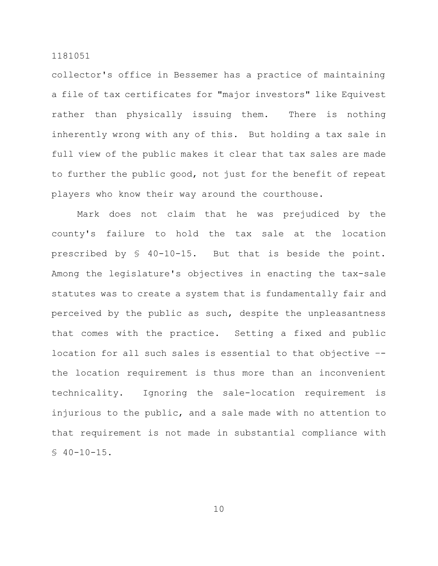collector's office in Bessemer has a practice of maintaining a file of tax certificates for "major investors" like Equivest rather than physically issuing them. There is nothing inherently wrong with any of this. But holding a tax sale in full view of the public makes it clear that tax sales are made to further the public good, not just for the benefit of repeat players who know their way around the courthouse.

Mark does not claim that he was prejudiced by the county's failure to hold the tax sale at the location prescribed by § 40-10-15. But that is beside the point. Among the legislature's objectives in enacting the tax-sale statutes was to create a system that is fundamentally fair and perceived by the public as such, despite the unpleasantness that comes with the practice. Setting a fixed and public location for all such sales is essential to that objective – the location requirement is thus more than an inconvenient technicality. Ignoring the sale-location requirement is injurious to the public, and a sale made with no attention to that requirement is not made in substantial compliance with  $$40-10-15.$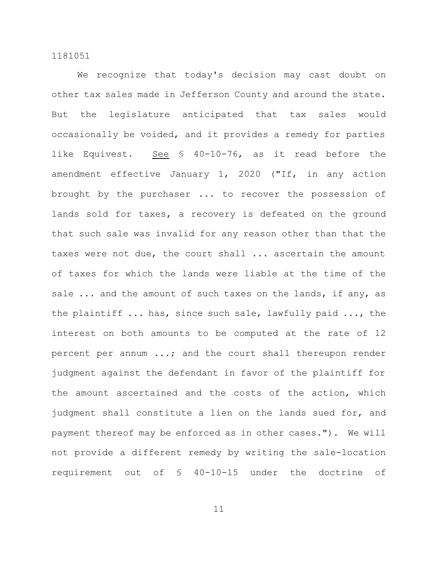We recognize that today's decision may cast doubt on other tax sales made in Jefferson County and around the state. But the legislature anticipated that tax sales would occasionally be voided, and it provides a remedy for parties like Equivest. See § 40-10-76, as it read before the amendment effective January 1, 2020 ("If, in any action brought by the purchaser ... to recover the possession of lands sold for taxes, a recovery is defeated on the ground that such sale was invalid for any reason other than that the taxes were not due, the court shall ... ascertain the amount of taxes for which the lands were liable at the time of the sale ... and the amount of such taxes on the lands, if any, as the plaintiff ... has, since such sale, lawfully paid ..., the interest on both amounts to be computed at the rate of 12 percent per annum ...; and the court shall thereupon render judgment against the defendant in favor of the plaintiff for the amount ascertained and the costs of the action, which judgment shall constitute a lien on the lands sued for, and payment thereof may be enforced as in other cases."). We will not provide a different remedy by writing the sale-location requirement out of § 40-10-15 under the doctrine of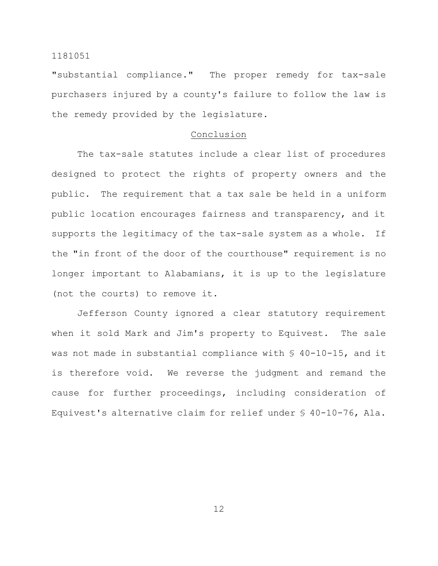"substantial compliance." The proper remedy for tax-sale purchasers injured by a county's failure to follow the law is the remedy provided by the legislature.

# Conclusion

The tax-sale statutes include a clear list of procedures designed to protect the rights of property owners and the public. The requirement that a tax sale be held in a uniform public location encourages fairness and transparency, and it supports the legitimacy of the tax-sale system as a whole. If the "in front of the door of the courthouse" requirement is no longer important to Alabamians, it is up to the legislature (not the courts) to remove it.

Jefferson County ignored a clear statutory requirement when it sold Mark and Jim's property to Equivest. The sale was not made in substantial compliance with § 40-10-15, and it is therefore void. We reverse the judgment and remand the cause for further proceedings, including consideration of Equivest's alternative claim for relief under § 40-10-76, Ala.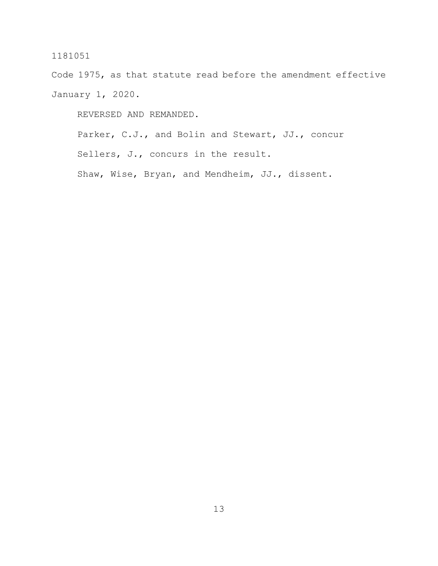Code 1975, as that statute read before the amendment effective January 1, 2020.

REVERSED AND REMANDED.

Parker, C.J., and Bolin and Stewart, JJ., concur Sellers, J., concurs in the result. Shaw, Wise, Bryan, and Mendheim, JJ., dissent.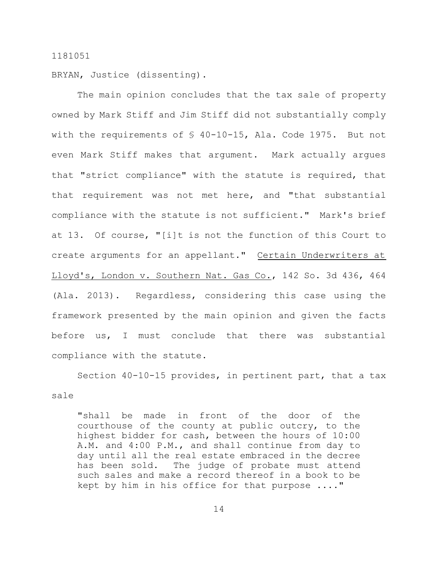BRYAN, Justice (dissenting).

The main opinion concludes that the tax sale of property owned by Mark Stiff and Jim Stiff did not substantially comply with the requirements of § 40-10-15, Ala. Code 1975. But not even Mark Stiff makes that argument. Mark actually argues that "strict compliance" with the statute is required, that that requirement was not met here, and "that substantial compliance with the statute is not sufficient." Mark's brief at 13. Of course, "[i]t is not the function of this Court to create arguments for an appellant." Certain Underwriters at Lloyd's, London v. Southern Nat. Gas Co., 142 So. 3d 436, 464 (Ala. 2013). Regardless, considering this case using the framework presented by the main opinion and given the facts before us, I must conclude that there was substantial compliance with the statute.

Section 40-10-15 provides, in pertinent part, that a tax sale

"shall be made in front of the door of the courthouse of the county at public outcry, to the highest bidder for cash, between the hours of 10:00 A.M. and 4:00 P.M., and shall continue from day to day until all the real estate embraced in the decree has been sold. The judge of probate must attend such sales and make a record thereof in a book to be kept by him in his office for that purpose ...."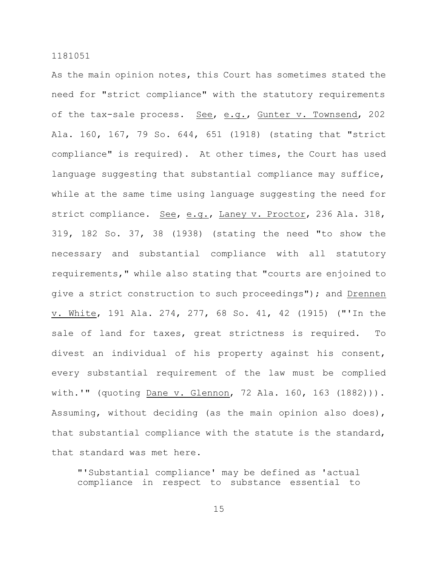As the main opinion notes, this Court has sometimes stated the need for "strict compliance" with the statutory requirements of the tax-sale process. See, e.g., Gunter v. Townsend, 202 Ala. 160, 167, 79 So. 644, 651 (1918) (stating that "strict compliance" is required). At other times, the Court has used language suggesting that substantial compliance may suffice, while at the same time using language suggesting the need for strict compliance. See, e.g., Laney v. Proctor, 236 Ala. 318, 319, 182 So. 37, 38 (1938) (stating the need "to show the necessary and substantial compliance with all statutory requirements," while also stating that "courts are enjoined to give a strict construction to such proceedings"); and Drennen v. White, 191 Ala. 274, 277, 68 So. 41, 42 (1915) ("'In the sale of land for taxes, great strictness is required. To divest an individual of his property against his consent, every substantial requirement of the law must be complied with.'" (quoting Dane v. Glennon, 72 Ala. 160, 163 (1882))). Assuming, without deciding (as the main opinion also does), that substantial compliance with the statute is the standard, that standard was met here.

"'Substantial compliance' may be defined as 'actual compliance in respect to substance essential to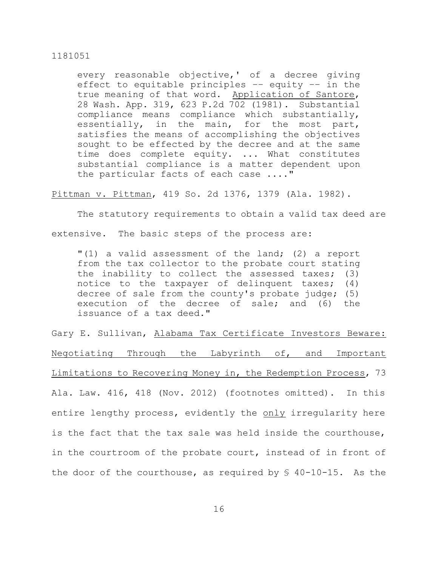every reasonable objective,' of a decree giving effect to equitable principles –– equity –– in the true meaning of that word. Application of Santore, 28 Wash. App. 319, 623 P.2d 702 (1981). Substantial compliance means compliance which substantially, essentially, in the main, for the most part, satisfies the means of accomplishing the objectives sought to be effected by the decree and at the same time does complete equity. ... What constitutes substantial compliance is a matter dependent upon the particular facts of each case ...."

Pittman v. Pittman, 419 So. 2d 1376, 1379 (Ala. 1982).

The statutory requirements to obtain a valid tax deed are extensive. The basic steps of the process are:

"(1) a valid assessment of the land; (2) a report from the tax collector to the probate court stating the inability to collect the assessed taxes; (3) notice to the taxpayer of delinquent taxes; (4) decree of sale from the county's probate judge; (5) execution of the decree of sale; and (6) the issuance of a tax deed."

Gary E. Sullivan, Alabama Tax Certificate Investors Beware: Negotiating Through the Labyrinth of, and Important Limitations to Recovering Money in, the Redemption Process, 73 Ala. Law. 416, 418 (Nov. 2012) (footnotes omitted). In this entire lengthy process, evidently the only irregularity here is the fact that the tax sale was held inside the courthouse, in the courtroom of the probate court, instead of in front of the door of the courthouse, as required by  $\S$  40-10-15. As the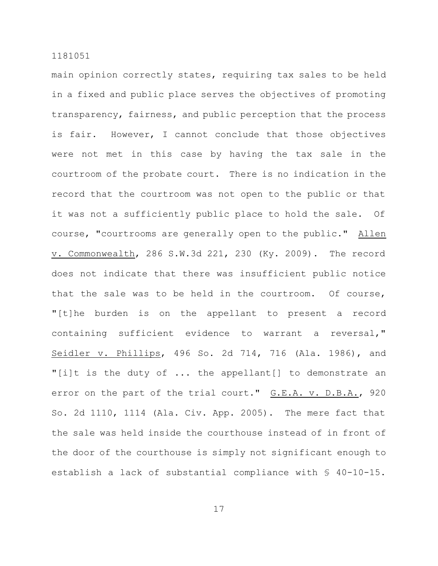main opinion correctly states, requiring tax sales to be held in a fixed and public place serves the objectives of promoting transparency, fairness, and public perception that the process is fair. However, I cannot conclude that those objectives were not met in this case by having the tax sale in the courtroom of the probate court. There is no indication in the record that the courtroom was not open to the public or that it was not a sufficiently public place to hold the sale. Of course, "courtrooms are generally open to the public." Allen v. Commonwealth, 286 S.W.3d 221, 230 (Ky. 2009). The record does not indicate that there was insufficient public notice that the sale was to be held in the courtroom. Of course, "[t]he burden is on the appellant to present a record containing sufficient evidence to warrant a reversal," Seidler v. Phillips, 496 So. 2d 714, 716 (Ala. 1986), and "[i]t is the duty of ... the appellant[] to demonstrate an error on the part of the trial court." G.E.A. v. D.B.A., 920 So. 2d 1110, 1114 (Ala. Civ. App. 2005). The mere fact that the sale was held inside the courthouse instead of in front of the door of the courthouse is simply not significant enough to establish a lack of substantial compliance with § 40-10-15.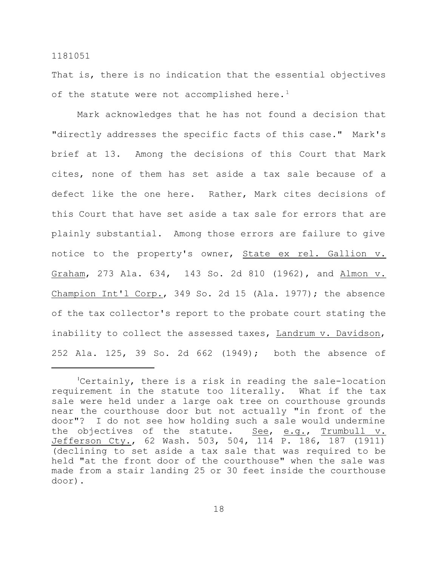That is, there is no indication that the essential objectives of the statute were not accomplished here.<sup>1</sup>

Mark acknowledges that he has not found a decision that "directly addresses the specific facts of this case." Mark's brief at 13. Among the decisions of this Court that Mark cites, none of them has set aside a tax sale because of a defect like the one here. Rather, Mark cites decisions of this Court that have set aside a tax sale for errors that are plainly substantial. Among those errors are failure to give notice to the property's owner, State ex rel. Gallion v. Graham, 273 Ala. 634, 143 So. 2d 810 (1962), and Almon v. Champion Int'l Corp., 349 So. 2d 15 (Ala. 1977); the absence of the tax collector's report to the probate court stating the inability to collect the assessed taxes, Landrum v. Davidson, 252 Ala. 125, 39 So. 2d 662 (1949); both the absence of

<sup>&</sup>lt;sup>1</sup>Certainly, there is a risk in reading the sale-location requirement in the statute too literally. What if the tax sale were held under a large oak tree on courthouse grounds near the courthouse door but not actually "in front of the door"? I do not see how holding such a sale would undermine the objectives of the statute. See, e.g., Trumbull v. Jefferson Cty., 62 Wash. 503, 504, 114 P. 186, 187 (1911) (declining to set aside a tax sale that was required to be held "at the front door of the courthouse" when the sale was made from a stair landing 25 or 30 feet inside the courthouse door).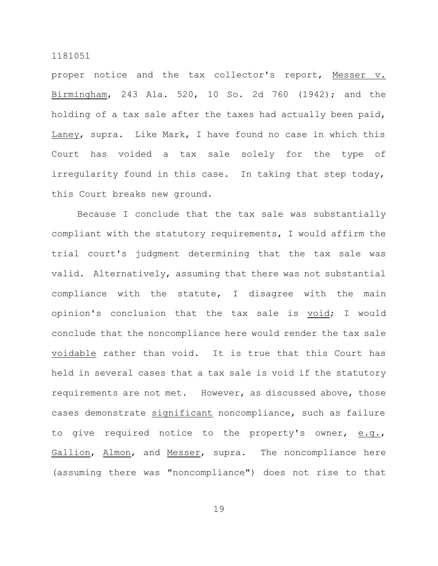proper notice and the tax collector's report, Messer v. Birmingham, 243 Ala. 520, 10 So. 2d 760 (1942); and the holding of a tax sale after the taxes had actually been paid, Laney, supra. Like Mark, I have found no case in which this Court has voided a tax sale solely for the type of irregularity found in this case. In taking that step today, this Court breaks new ground.

Because I conclude that the tax sale was substantially compliant with the statutory requirements, I would affirm the trial court's judgment determining that the tax sale was valid. Alternatively, assuming that there was not substantial compliance with the statute, I disagree with the main opinion's conclusion that the tax sale is void; I would conclude that the noncompliance here would render the tax sale voidable rather than void. It is true that this Court has held in several cases that a tax sale is void if the statutory requirements are not met. However, as discussed above, those cases demonstrate significant noncompliance, such as failure to give required notice to the property's owner, e.g., Gallion, Almon, and Messer, supra. The noncompliance here (assuming there was "noncompliance") does not rise to that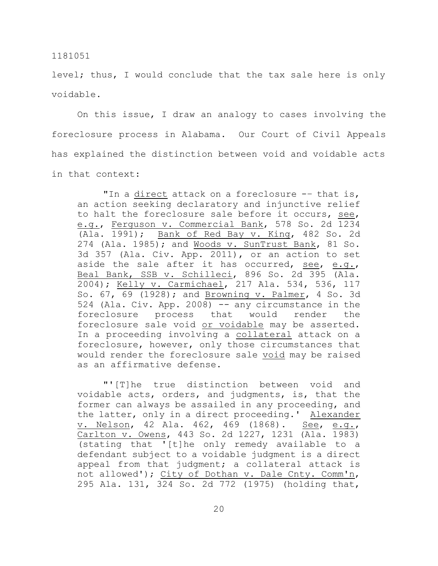level; thus, I would conclude that the tax sale here is only voidable.

On this issue, I draw an analogy to cases involving the foreclosure process in Alabama. Our Court of Civil Appeals has explained the distinction between void and voidable acts in that context:

"In a direct attack on a foreclosure -- that is, an action seeking declaratory and injunctive relief to halt the foreclosure sale before it occurs, see, e.g., Ferguson v. Commercial Bank, 578 So. 2d 1234 (Ala. 1991); Bank of Red Bay v. King, 482 So. 2d 274 (Ala. 1985); and Woods v. SunTrust Bank, 81 So. 3d 357 (Ala. Civ. App. 2011), or an action to set aside the sale after it has occurred, see, e.g., Beal Bank, SSB v. Schilleci, 896 So. 2d 395 (Ala. 2004); Kelly v. Carmichael, 217 Ala. 534, 536, 117 So. 67, 69 (1928); and Browning v. Palmer, 4 So. 3d 524 (Ala. Civ. App. 2008) -- any circumstance in the foreclosure process that would render the foreclosure sale void or voidable may be asserted. In a proceeding involving a collateral attack on a foreclosure, however, only those circumstances that would render the foreclosure sale void may be raised as an affirmative defense.

"'[T]he true distinction between void and voidable acts, orders, and judgments, is, that the former can always be assailed in any proceeding, and the latter, only in a direct proceeding.' Alexander v. Nelson, 42 Ala. 462, 469 (1868). See, e.g., Carlton v. Owens, 443 So. 2d 1227, 1231 (Ala. 1983) (stating that '[t]he only remedy available to a defendant subject to a voidable judgment is a direct appeal from that judgment; a collateral attack is not allowed'); City of Dothan v. Dale Cnty. Comm'n, 295 Ala. 131, 324 So. 2d 772 (1975) (holding that,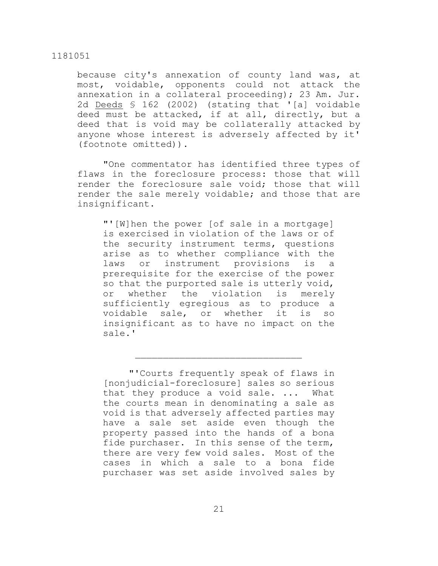because city's annexation of county land was, at most, voidable, opponents could not attack the annexation in a collateral proceeding); 23 Am. Jur. 2d Deeds § 162 (2002) (stating that '[a] voidable deed must be attacked, if at all, directly, but a deed that is void may be collaterally attacked by anyone whose interest is adversely affected by it' (footnote omitted)).

"One commentator has identified three types of flaws in the foreclosure process: those that will render the foreclosure sale void; those that will render the sale merely voidable; and those that are insignificant.

"'[W]hen the power [of sale in a mortgage] is exercised in violation of the laws or of the security instrument terms, questions arise as to whether compliance with the laws or instrument provisions is prerequisite for the exercise of the power so that the purported sale is utterly void, or whether the violation is merely sufficiently egregious as to produce a voidable sale, or whether it is so insignificant as to have no impact on the sale.'

<sup>&</sup>quot;'Courts frequently speak of flaws in [nonjudicial-foreclosure] sales so serious that they produce a void sale. ... What the courts mean in denominating a sale as void is that adversely affected parties may have a sale set aside even though the property passed into the hands of a bona fide purchaser. In this sense of the term, there are very few void sales. Most of the cases in which a sale to a bona fide purchaser was set aside involved sales by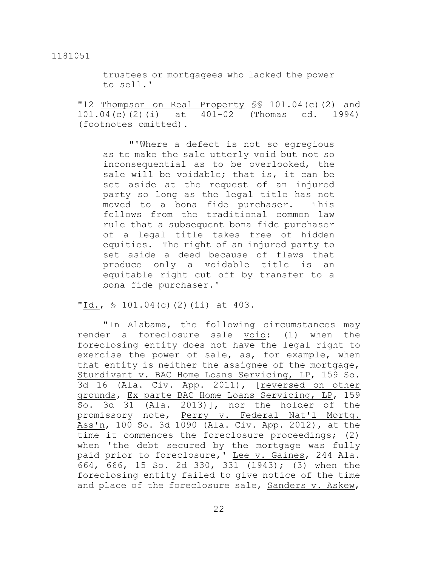trustees or mortgagees who lacked the power to sell.'

"12 Thompson on Real Property SS 101.04(c)(2) and 101.04(c)(2)(i) at 401-02 (Thomas ed. 1994) (footnotes omitted).

"'Where a defect is not so egregious as to make the sale utterly void but not so inconsequential as to be overlooked, the sale will be voidable; that is, it can be set aside at the request of an injured party so long as the legal title has not moved to a bona fide purchaser. This follows from the traditional common law rule that a subsequent bona fide purchaser of a legal title takes free of hidden equities. The right of an injured party to set aside a deed because of flaws that produce only a voidable title is an equitable right cut off by transfer to a bona fide purchaser.'

"Id.,  $\frac{1}{2}$  101.04(c)(2)(ii) at 403.

"In Alabama, the following circumstances may render a foreclosure sale void: (1) when the foreclosing entity does not have the legal right to exercise the power of sale, as, for example, when that entity is neither the assignee of the mortgage, Sturdivant v. BAC Home Loans Servicing, LP, 159 So. 3d 16 (Ala. Civ. App. 2011), [reversed on other grounds, Ex parte BAC Home Loans Servicing, LP, 159 So. 3d 31 (Ala. 2013)], nor the holder of the promissory note, Perry v. Federal Nat'l Mortg. Ass'n, 100 So. 3d 1090 (Ala. Civ. App. 2012), at the time it commences the foreclosure proceedings; (2) when 'the debt secured by the mortgage was fully paid prior to foreclosure, 'Lee v. Gaines, 244 Ala. 664, 666, 15 So. 2d 330, 331 (1943); (3) when the foreclosing entity failed to give notice of the time and place of the foreclosure sale, Sanders v. Askew,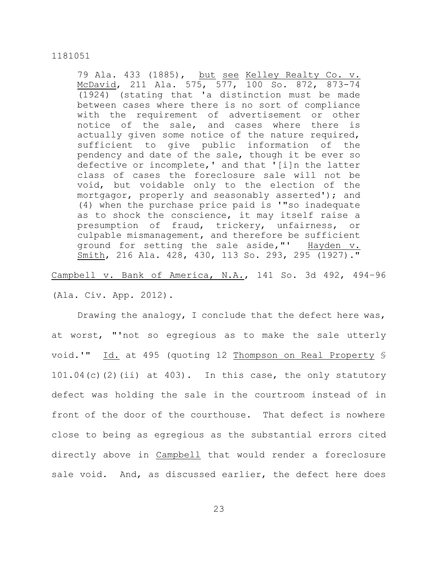79 Ala. 433 (1885), but see Kelley Realty Co. v. McDavid, 211 Ala. 575, 577, 100 So. 872, 873-74 (1924) (stating that 'a distinction must be made between cases where there is no sort of compliance with the requirement of advertisement or other notice of the sale, and cases where there is actually given some notice of the nature required, sufficient to give public information of the pendency and date of the sale, though it be ever so defective or incomplete,' and that '[i]n the latter class of cases the foreclosure sale will not be void, but voidable only to the election of the mortgagor, properly and seasonably asserted'); and (4) when the purchase price paid is '"so inadequate as to shock the conscience, it may itself raise a presumption of fraud, trickery, unfairness, or culpable mismanagement, and therefore be sufficient ground for setting the sale aside,"' Hayden v. Smith, 216 Ala. 428, 430, 113 So. 293, 295 (1927)."

# Campbell v. Bank of America, N.A., 141 So. 3d 492, 494–96

(Ala. Civ. App. 2012).

Drawing the analogy, I conclude that the defect here was, at worst, "'not so egregious as to make the sale utterly void.'" Id. at 495 (quoting 12 Thompson on Real Property § 101.04(c)(2)(ii) at 403). In this case, the only statutory defect was holding the sale in the courtroom instead of in front of the door of the courthouse. That defect is nowhere close to being as egregious as the substantial errors cited directly above in Campbell that would render a foreclosure sale void. And, as discussed earlier, the defect here does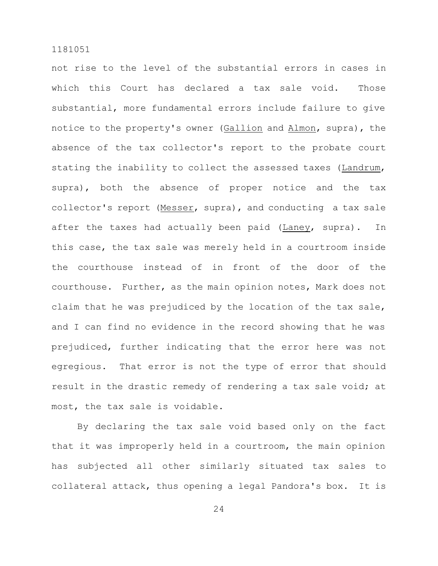not rise to the level of the substantial errors in cases in which this Court has declared a tax sale void. Those substantial, more fundamental errors include failure to give notice to the property's owner (Gallion and Almon, supra), the absence of the tax collector's report to the probate court stating the inability to collect the assessed taxes (Landrum, supra), both the absence of proper notice and the tax collector's report (Messer, supra), and conducting a tax sale after the taxes had actually been paid (Laney, supra). In this case, the tax sale was merely held in a courtroom inside the courthouse instead of in front of the door of the courthouse. Further, as the main opinion notes, Mark does not claim that he was prejudiced by the location of the tax sale, and I can find no evidence in the record showing that he was prejudiced, further indicating that the error here was not egregious. That error is not the type of error that should result in the drastic remedy of rendering a tax sale void; at most, the tax sale is voidable.

By declaring the tax sale void based only on the fact that it was improperly held in a courtroom, the main opinion has subjected all other similarly situated tax sales to collateral attack, thus opening a legal Pandora's box. It is